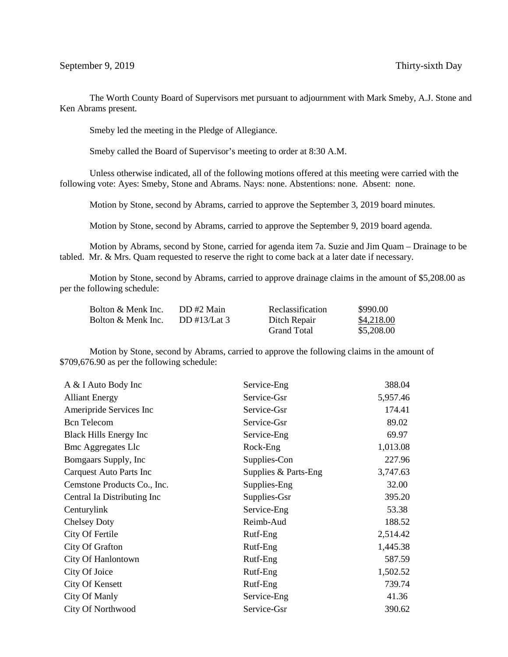The Worth County Board of Supervisors met pursuant to adjournment with Mark Smeby, A.J. Stone and Ken Abrams present.

Smeby led the meeting in the Pledge of Allegiance.

Smeby called the Board of Supervisor's meeting to order at 8:30 A.M.

Unless otherwise indicated, all of the following motions offered at this meeting were carried with the following vote: Ayes: Smeby, Stone and Abrams. Nays: none. Abstentions: none. Absent: none.

Motion by Stone, second by Abrams, carried to approve the September 3, 2019 board minutes.

Motion by Stone, second by Abrams, carried to approve the September 9, 2019 board agenda.

Motion by Abrams, second by Stone, carried for agenda item 7a. Suzie and Jim Quam – Drainage to be tabled. Mr. & Mrs. Quam requested to reserve the right to come back at a later date if necessary.

Motion by Stone, second by Abrams, carried to approve drainage claims in the amount of \$5,208.00 as per the following schedule:

| Bolton & Menk Inc. | DD#2 Main    | Reclassification   | \$990.00   |
|--------------------|--------------|--------------------|------------|
| Bolton & Menk Inc. | DD #13/Lat 3 | Ditch Repair       | \$4,218.00 |
|                    |              | <b>Grand Total</b> | \$5,208.00 |

Motion by Stone, second by Abrams, carried to approve the following claims in the amount of \$709,676.90 as per the following schedule:

| A & I Auto Body Inc           | Service-Eng          | 388.04   |
|-------------------------------|----------------------|----------|
| <b>Alliant Energy</b>         | Service-Gsr          | 5,957.46 |
| Ameripride Services Inc       | Service-Gsr          | 174.41   |
| <b>Bcn</b> Telecom            | Service-Gsr          | 89.02    |
| <b>Black Hills Energy Inc</b> | Service-Eng          | 69.97    |
| <b>Bmc Aggregates Llc</b>     | Rock-Eng             | 1,013.08 |
| Bomgaars Supply, Inc          | Supplies-Con         | 227.96   |
| Carquest Auto Parts Inc       | Supplies & Parts-Eng | 3,747.63 |
| Cemstone Products Co., Inc.   | Supplies-Eng         | 32.00    |
| Central Ia Distributing Inc   | Supplies-Gsr         | 395.20   |
| Centurylink                   | Service-Eng          | 53.38    |
| <b>Chelsey Doty</b>           | Reimb-Aud            | 188.52   |
| City Of Fertile               | Rutf-Eng             | 2,514.42 |
| City Of Grafton               | Rutf-Eng             | 1,445.38 |
| City Of Hanlontown            | Rutf-Eng             | 587.59   |
| City Of Joice                 | Rutf-Eng             | 1,502.52 |
| City Of Kensett               | Rutf-Eng             | 739.74   |
| City Of Manly                 | Service-Eng          | 41.36    |
| <b>City Of Northwood</b>      | Service-Gsr          | 390.62   |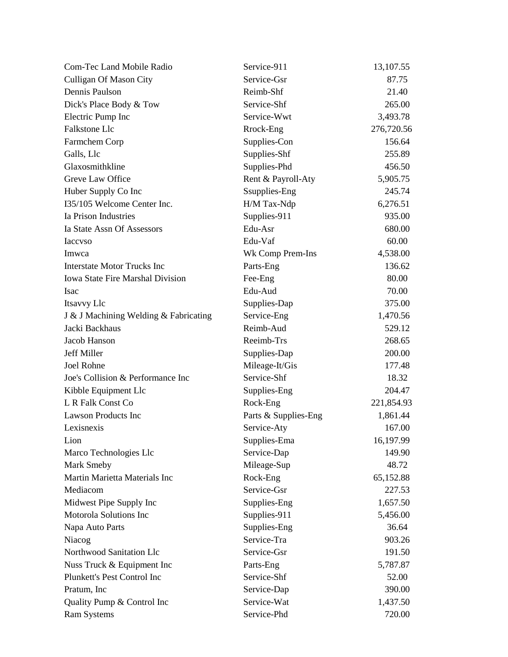| Com-Tec Land Mobile Radio               | Service-911          | 13,107.55  |
|-----------------------------------------|----------------------|------------|
| <b>Culligan Of Mason City</b>           | Service-Gsr          | 87.75      |
| Dennis Paulson                          | Reimb-Shf            | 21.40      |
| Dick's Place Body & Tow                 | Service-Shf          | 265.00     |
| Electric Pump Inc                       | Service-Wwt          | 3,493.78   |
| Falkstone Llc                           | Rrock-Eng            | 276,720.56 |
| Farmchem Corp                           | Supplies-Con         | 156.64     |
| Galls, Llc                              | Supplies-Shf         | 255.89     |
| Glaxosmithkline                         | Supplies-Phd         | 456.50     |
| Greve Law Office                        | Rent & Payroll-Aty   | 5,905.75   |
| Huber Supply Co Inc                     | Ssupplies-Eng        | 245.74     |
| I35/105 Welcome Center Inc.             | H/M Tax-Ndp          | 6,276.51   |
| Ia Prison Industries                    | Supplies-911         | 935.00     |
| Ia State Assn Of Assessors              | Edu-Asr              | 680.00     |
| <b>Iaccyso</b>                          | Edu-Vaf              | 60.00      |
| Imwca                                   | Wk Comp Prem-Ins     | 4,538.00   |
| <b>Interstate Motor Trucks Inc</b>      | Parts-Eng            | 136.62     |
| <b>Iowa State Fire Marshal Division</b> | Fee-Eng              | 80.00      |
| Isac                                    | Edu-Aud              | 70.00      |
| Itsavvy Llc                             | Supplies-Dap         | 375.00     |
| J & J Machining Welding & Fabricating   | Service-Eng          | 1,470.56   |
| Jacki Backhaus                          | Reimb-Aud            | 529.12     |
| Jacob Hanson                            | Reeimb-Trs           | 268.65     |
| Jeff Miller                             | Supplies-Dap         | 200.00     |
| Joel Rohne                              | Mileage-It/Gis       | 177.48     |
| Joe's Collision & Performance Inc       | Service-Shf          | 18.32      |
| Kibble Equipment Llc                    | Supplies-Eng         | 204.47     |
| L R Falk Const Co                       | Rock-Eng             | 221,854.93 |
| <b>Lawson Products Inc</b>              | Parts & Supplies-Eng | 1,861.44   |
| Lexisnexis                              | Service-Aty          | 167.00     |
| Lion                                    | Supplies-Ema         | 16,197.99  |
| Marco Technologies Llc                  | Service-Dap          | 149.90     |
| Mark Smeby                              | Mileage-Sup          | 48.72      |
| Martin Marietta Materials Inc           | Rock-Eng             | 65,152.88  |
| Mediacom                                | Service-Gsr          | 227.53     |
| Midwest Pipe Supply Inc                 | Supplies-Eng         | 1,657.50   |
| Motorola Solutions Inc                  | Supplies-911         | 5,456.00   |
| Napa Auto Parts                         | Supplies-Eng         | 36.64      |
| Niacog                                  | Service-Tra          | 903.26     |
| Northwood Sanitation Llc                | Service-Gsr          | 191.50     |
| Nuss Truck & Equipment Inc              | Parts-Eng            | 5,787.87   |
| Plunkett's Pest Control Inc             | Service-Shf          | 52.00      |
| Pratum, Inc.                            | Service-Dap          | 390.00     |
| Quality Pump & Control Inc              | Service-Wat          | 1,437.50   |
| <b>Ram Systems</b>                      | Service-Phd          | 720.00     |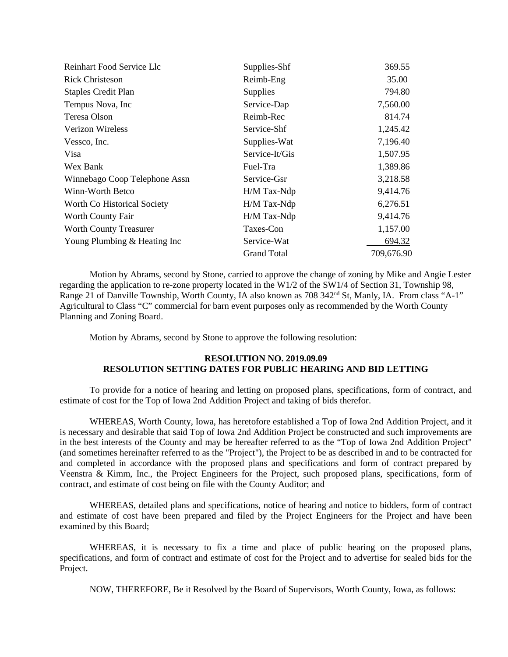| Reinhart Food Service Llc     | Supplies-Shf       | 369.55     |
|-------------------------------|--------------------|------------|
| <b>Rick Christeson</b>        | Reimb-Eng          | 35.00      |
| <b>Staples Credit Plan</b>    | <b>Supplies</b>    | 794.80     |
| Tempus Nova, Inc.             | Service-Dap        | 7,560.00   |
| Teresa Olson                  | Reimb-Rec          | 814.74     |
| <b>Verizon Wireless</b>       | Service-Shf        | 1,245.42   |
| Vessco, Inc.                  | Supplies-Wat       | 7,196.40   |
| Visa                          | Service-It/Gis     | 1,507.95   |
| Wex Bank                      | Fuel-Tra           | 1,389.86   |
| Winnebago Coop Telephone Assn | Service-Gsr        | 3,218.58   |
| Winn-Worth Betco              | $H/M$ Tax-Ndp      | 9,414.76   |
| Worth Co Historical Society   | H/M Tax-Ndp        | 6,276.51   |
| Worth County Fair             | H/M Tax-Ndp        | 9,414.76   |
| <b>Worth County Treasurer</b> | Taxes-Con          | 1,157.00   |
| Young Plumbing & Heating Inc  | Service-Wat        | 694.32     |
|                               | <b>Grand Total</b> | 709,676.90 |

Motion by Abrams, second by Stone, carried to approve the change of zoning by Mike and Angie Lester regarding the application to re-zone property located in the W1/2 of the SW1/4 of Section 31, Township 98, Range 21 of Danville Township, Worth County, IA also known as 708 342<sup>nd</sup> St, Manly, IA. From class "A-1" Agricultural to Class "C" commercial for barn event purposes only as recommended by the Worth County Planning and Zoning Board.

Motion by Abrams, second by Stone to approve the following resolution:

## **RESOLUTION NO. 2019.09.09 RESOLUTION SETTING DATES FOR PUBLIC HEARING AND BID LETTING**

To provide for a notice of hearing and letting on proposed plans, specifications, form of contract, and estimate of cost for the Top of Iowa 2nd Addition Project and taking of bids therefor.

WHEREAS, Worth County, Iowa, has heretofore established a Top of Iowa 2nd Addition Project, and it is necessary and desirable that said Top of Iowa 2nd Addition Project be constructed and such improvements are in the best interests of the County and may be hereafter referred to as the "Top of Iowa 2nd Addition Project" (and sometimes hereinafter referred to as the "Project"), the Project to be as described in and to be contracted for and completed in accordance with the proposed plans and specifications and form of contract prepared by Veenstra & Kimm, Inc., the Project Engineers for the Project, such proposed plans, specifications, form of contract, and estimate of cost being on file with the County Auditor; and

WHEREAS, detailed plans and specifications, notice of hearing and notice to bidders, form of contract and estimate of cost have been prepared and filed by the Project Engineers for the Project and have been examined by this Board;

WHEREAS, it is necessary to fix a time and place of public hearing on the proposed plans, specifications, and form of contract and estimate of cost for the Project and to advertise for sealed bids for the Project.

NOW, THEREFORE, Be it Resolved by the Board of Supervisors, Worth County, Iowa, as follows: